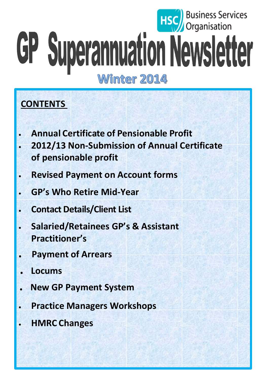# **Business Services**<br>Organisation GP Superannuation Newsletter

# Winter 2014

# **CONTENTS**

- **Annual Certificate of Pensionable Profit**
- **2012/13 Non-Submission of Annual Certificate of pensionable profit**
- **Revised Payment on Account forms**
- **GP's Who Retire Mid-Year**
- **Contact Details/Client List**
- **Salaried/Retainees GP's & Assistant Practitioner's**
- **. Payment of Arrears**
- **. Locums**
- **. New GP Payment System**
- **Practice Managers Workshops**
- **HMRC Changes**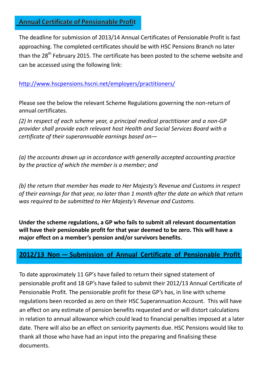#### **Annual Certificate of Pensionable Profit**

The deadline for submission of 2013/14 Annual Certificates of Pensionable Profit is fast approaching. The completed certificates should be with HSC Pensions Branch no later than the  $28<sup>th</sup>$  February 2015. The certificate has been posted to the scheme website and can be accessed using the following link:

#### <http://www.hscpensions.hscni.net/employers/practitioners/>

Please see the below the relevant Scheme Regulations governing the non-return of annual certificates.

*(2) In respect of each scheme year, a principal medical practitioner and a non-GP provider shall provide each relevant host Health and Social Services Board with a certificate of their superannuable earnings based on—*

*(a) the accounts drawn up in accordance with generally accepted accounting practice by the practice of which the member is a member; and*

*(b) the return that member has made to Her Majesty's Revenue and Customs in respect of their earnings for that year, no later than 1 month after the date on which that return was required to be submitted to Her Majesty's Revenue and Customs.*

**Under the scheme regulations, a GP who fails to submit all relevant documentation will have their pensionable profit for that year deemed to be zero. This will have a major effect on a member's pension and/or survivors benefits.**

#### **2012/13 Non — Submission of Annual Certificate of Pensionable Profit**

To date approximately 11 GP's have failed to return their signed statement of pensionable profit and 18 GP's have failed to submit their 2012/13 Annual Certificate of Pensionable Profit. The pensionable profit for these GP's has, in line with scheme regulations been recorded as zero on their HSC Superannuation Account. This will have an effect on any estimate of pension benefits requested and or will distort calculations in relation to annual allowance which could lead to financial penalties imposed at a later date. There will also be an effect on seniority payments due. HSC Pensions would like to thank all those who have had an input into the preparing and finalising these documents.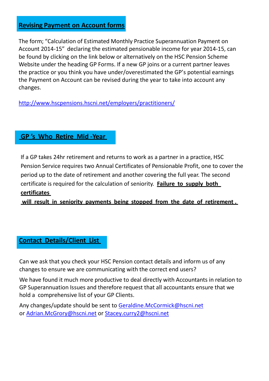#### **Revising Payment on Account forms**

The form; "Calculation of Estimated Monthly Practice Superannuation Payment on Account 2014-15" declaring the estimated pensionable income for year 2014-15, can be found by clicking on the link below or alternatively on the HSC Pension Scheme Website under the heading GP Forms. If a new GP joins or a current partner leaves the practice or you think you have under/overestimated the GP's potential earnings the Payment on Account can be revised during the year to take into account any changes.

<http://www.hscpensions.hscni.net/employers/practitioners/>

#### **GP 's Who Retire Mid -Year**

If a GP takes 24hr retirement and returns to work as a partner in a practice, HSC Pension Service requires two Annual Certificates of Pensionable Profit, one to cover the period up to the date of retirement and another covering the full year. The second certificate is required for the calculation of seniority. **Failure to supply both certificates**

**will result in seniority payments being stopped from the date of retirement .**

#### **Contact Details/Client List**

Can we ask that you check your HSC Pension contact details and inform us of any changes to ensure we are communicating with the correct end users?

We have found it much more productive to deal directly with Accountants in relation to GP Superannuation Issues and therefore request that all accountants ensure that we hold a comprehensive list of your GP Clients.

Any changes/update should be sent to [Geraldine.McCormick@hscni.net](mailto:Geraldine.McCormick@hscni.net) or [Adrian.McGrory@hscni.net](mailto:Adrian.McGrory@hscni.net) or [Stacey.curry2@hscni.net](mailto:Stacey.curry2@hscni.net)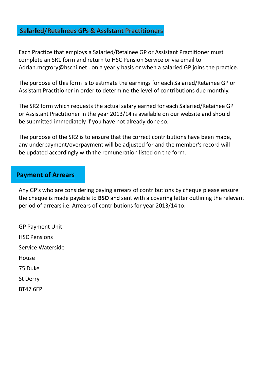#### **Salaried/Retainees GPs & Assistant Practitioners**

Each Practice that employs a Salaried/Retainee GP or Assistant Practitioner must complete an SR1 form and return to HSC Pension Service or via email [to](mailto:Adrian.mcgrory@hscni.net)  [Adrian.mcgrory@hscni.net](mailto:Adrian.mcgrory@hscni.net) . on a yearly basis or when a salaried GP joins the practice.

The purpose of this form is to estimate the earnings for each Salaried/Retainee GP or Assistant Practitioner in order to determine the level of contributions due monthly.

The SR2 form which requests the actual salary earned for each Salaried/Retainee GP or Assistant Practitioner in the year 2013/14 is available on our website and should be submitted immediately if you have not already done so.

The purpose of the SR2 is to ensure that the correct contributions have been made, any underpayment/overpayment will be adjusted for and the member's record will be updated accordingly with the remuneration listed on the form.

#### **Payment of Arrears**

Any GP's who are considering paying arrears of contributions by cheque please ensure the cheque is made payable to **BSO** and sent with a covering letter outlining the relevant period of arrears i.e. Arrears of contributions for year 2013/14 to:

GP Payment Unit HSC Pensions Service Waterside House 75 Duke St Derry

BT47 6FP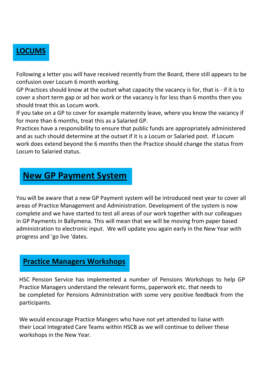### **LOCUMS**

Following a letter you will have received recently from the Board, there still appears to be confusion over Locum 6 month working.

GP Practices should know at the outset what capacity the vacancy is for, that is - if it is to cover a short term gap or ad hoc work or the vacancy is for less than 6 months then you should treat this as Locum work.

If you take on a GP to cover for example maternity leave, where you know the vacancy if for more than 6 months, treat this as a Salaried GP.

Practices have a responsibility to ensure that public funds are appropriately administered and as such should determine at the outset if it is a Locum or Salaried post. If Locum work does extend beyond the 6 months then the Practice should change the status from Locum to Salaried status.

# **New GP Payment System**

You will be aware that a new GP Payment system will be introduced next year to cover all areas of Practice Management and Administration. Development of the system is now complete and we have started to test all areas of our work together with our colleagues in GP Payments in Ballymena. This will mean that we will be moving from paper based administration to electronic input. We will update you again early in the New Year with progress and 'go live 'dates.

#### **Practice Managers Workshops**

HSC Pension Service has implemented a number of Pensions Workshops to help GP Practice Managers understand the relevant forms, paperwork etc. that needs to be completed for Pensions Administration with some very positive feedback from the participants.

We would encourage Practice Mangers who have not yet attended to liaise with their Local Integrated Care Teams within HSCB as we will continue to deliver these workshops in the New Year.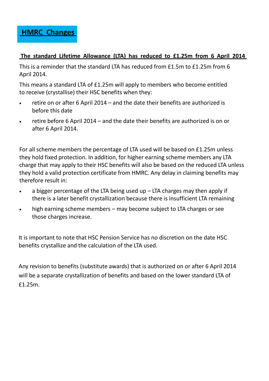**HMRC Changes**

#### **The standard Lifetime Allowance (LTA) has reduced to £1.25m from 6 April 2014**

This is a reminder that the standard LTA has reduced from £1.5m to £1.25m from 6 April 2014.

This means a standard LTA of £1.25m will apply to members who become entitled to receive (crystallise) their HSC benefits when they:

- retire on or after 6 April 2014 and the date their benefits are authorized is before this date
- retire before 6 April 2014 and the date their benefits are authorized is on or after 6 April 2014.

For all scheme members the percentage of LTA used will be based on £1.25m unless they hold fixed protection. In addition, for higher earning scheme members any LTA charge that may apply to their HSC benefits will also be based on the reduced LTA unless they hold a valid protection certificate from HMRC. Any delay in claiming benefits may therefore result in:

- a bigger percentage of the LTA being used up  $-$  LTA charges may then apply if there is a later benefit crystallization because there is insufficient LTA remaining
- high earning scheme members may become subject to LTA charges or see those charges increase.

It is important to note that HSC Pension Service has no discretion on the date HSC benefits crystallize and the calculation of the LTA used.

Any revision to benefits (substitute awards) that is authorized on or after 6 April 2014 will be a separate crystallization of benefits and based on the lower standard LTA of £1.25m.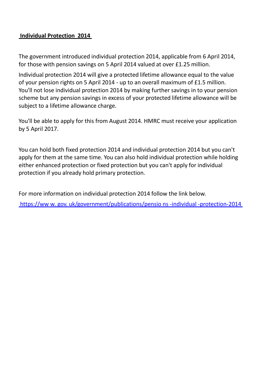#### **Individual Protection 2014**

The government introduced individual protection 2014, applicable from 6 April 2014, for those with pension savings on 5 April 2014 valued at over £1.25 million.

Individual protection 2014 will give a protected lifetime allowance equal to the value of your pension rights on 5 April 2014 - up to an overall maximum of £1.5 million. You'll not lose individual protection 2014 by making further savings in to your pension scheme but any pension savings in excess of your protected lifetime allowance will be subject to a lifetime allowance charge.

You'll be able to apply for this from August 2014. HMRC must receive your application by 5 April 2017.

You can hold both fixed protection 2014 and individual protection 2014 but you can't apply for them at the same time. You can also hold individual protection while holding either enhanced protection or fixed protection but you can't apply for individual protection if you already hold primary protection.

For more information on individual protection 2014 follow the link below.

https://ww w. gov. [uk/government/publications/pensio](https://www.gov.uk/government/publications/pensions-individual-protection-2014) ns -individual -protection-2014